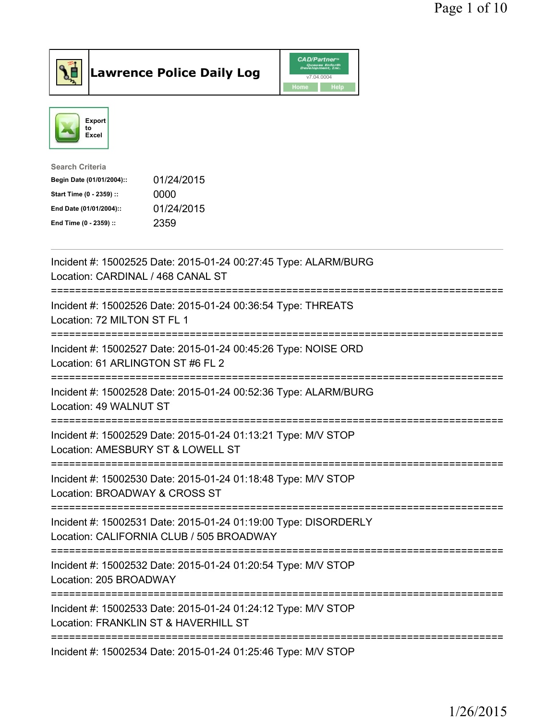



| <b>Search Criteria</b>    |            |
|---------------------------|------------|
| Begin Date (01/01/2004):: | 01/24/2015 |
| Start Time (0 - 2359) ::  | 0000       |
| End Date (01/01/2004)::   | 01/24/2015 |
| End Time (0 - 2359) ::    | 2359       |
|                           |            |

| Incident #: 15002525 Date: 2015-01-24 00:27:45 Type: ALARM/BURG<br>Location: CARDINAL / 468 CANAL ST                                              |
|---------------------------------------------------------------------------------------------------------------------------------------------------|
| Incident #: 15002526 Date: 2015-01-24 00:36:54 Type: THREATS<br>Location: 72 MILTON ST FL 1                                                       |
| Incident #: 15002527 Date: 2015-01-24 00:45:26 Type: NOISE ORD<br>Location: 61 ARLINGTON ST #6 FL 2                                               |
| Incident #: 15002528 Date: 2015-01-24 00:52:36 Type: ALARM/BURG<br>Location: 49 WALNUT ST                                                         |
| Incident #: 15002529 Date: 2015-01-24 01:13:21 Type: M/V STOP<br>Location: AMESBURY ST & LOWELL ST<br>======================                      |
| Incident #: 15002530 Date: 2015-01-24 01:18:48 Type: M/V STOP<br>Location: BROADWAY & CROSS ST<br>=========================                       |
| Incident #: 15002531 Date: 2015-01-24 01:19:00 Type: DISORDERLY<br>Location: CALIFORNIA CLUB / 505 BROADWAY<br>================================== |
| Incident #: 15002532 Date: 2015-01-24 01:20:54 Type: M/V STOP<br>Location: 205 BROADWAY                                                           |
| Incident #: 15002533 Date: 2015-01-24 01:24:12 Type: M/V STOP<br>Location: FRANKLIN ST & HAVERHILL ST                                             |
| Incident #: 15002534 Date: 2015-01-24 01:25:46 Type: M/V STOP                                                                                     |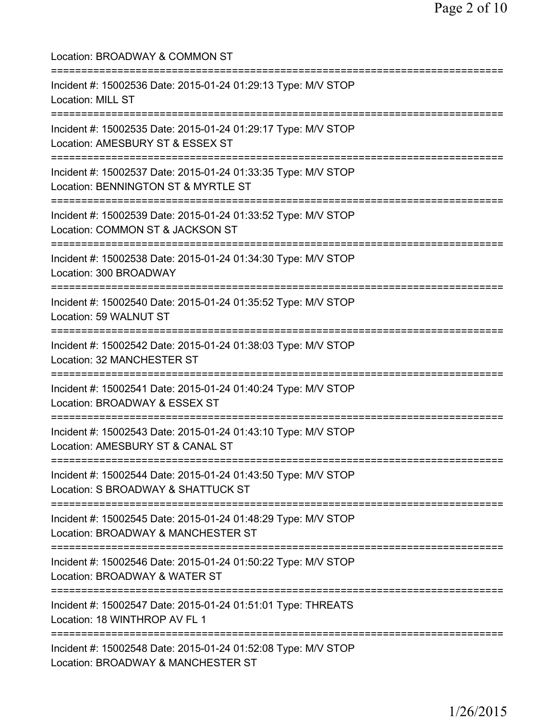| Location: BROADWAY & COMMON ST                                                                                                         |
|----------------------------------------------------------------------------------------------------------------------------------------|
| Incident #: 15002536 Date: 2015-01-24 01:29:13 Type: M/V STOP<br>Location: MILL ST                                                     |
| Incident #: 15002535 Date: 2015-01-24 01:29:17 Type: M/V STOP<br>Location: AMESBURY ST & ESSEX ST                                      |
| Incident #: 15002537 Date: 2015-01-24 01:33:35 Type: M/V STOP<br>Location: BENNINGTON ST & MYRTLE ST                                   |
| Incident #: 15002539 Date: 2015-01-24 01:33:52 Type: M/V STOP<br>Location: COMMON ST & JACKSON ST<br>--------------------              |
| Incident #: 15002538 Date: 2015-01-24 01:34:30 Type: M/V STOP<br>Location: 300 BROADWAY                                                |
| Incident #: 15002540 Date: 2015-01-24 01:35:52 Type: M/V STOP<br>Location: 59 WALNUT ST                                                |
| Incident #: 15002542 Date: 2015-01-24 01:38:03 Type: M/V STOP<br>Location: 32 MANCHESTER ST                                            |
| Incident #: 15002541 Date: 2015-01-24 01:40:24 Type: M/V STOP<br>Location: BROADWAY & ESSEX ST                                         |
| Incident #: 15002543 Date: 2015-01-24 01:43:10 Type: M/V STOP<br>Location: AMESBURY ST & CANAL ST                                      |
| Incident #: 15002544 Date: 2015-01-24 01:43:50 Type: M/V STOP<br>Location: S BROADWAY & SHATTUCK ST                                    |
| ===============================<br>Incident #: 15002545 Date: 2015-01-24 01:48:29 Type: M/V STOP<br>Location: BROADWAY & MANCHESTER ST |
| Incident #: 15002546 Date: 2015-01-24 01:50:22 Type: M/V STOP<br>Location: BROADWAY & WATER ST                                         |
| Incident #: 15002547 Date: 2015-01-24 01:51:01 Type: THREATS<br>Location: 18 WINTHROP AV FL 1                                          |
| Incident #: 15002548 Date: 2015-01-24 01:52:08 Type: M/V STOP<br>Location: BROADWAY & MANCHESTER ST                                    |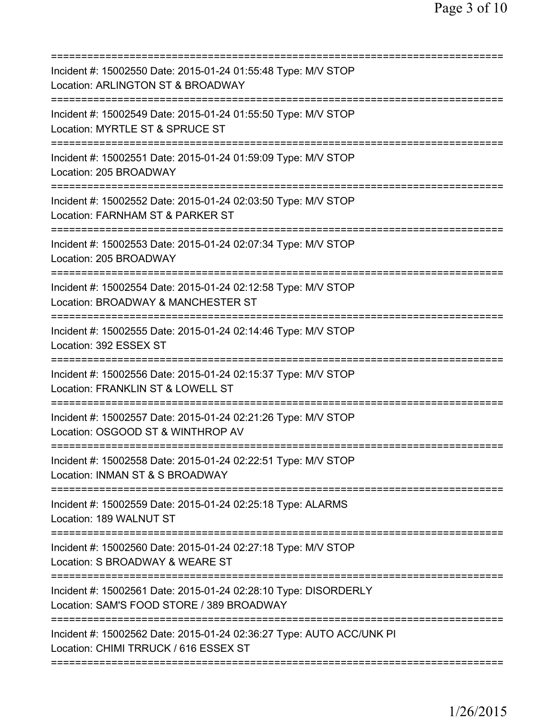| Incident #: 15002550 Date: 2015-01-24 01:55:48 Type: M/V STOP<br>Location: ARLINGTON ST & BROADWAY                              |
|---------------------------------------------------------------------------------------------------------------------------------|
| Incident #: 15002549 Date: 2015-01-24 01:55:50 Type: M/V STOP<br>Location: MYRTLE ST & SPRUCE ST                                |
| Incident #: 15002551 Date: 2015-01-24 01:59:09 Type: M/V STOP<br>Location: 205 BROADWAY                                         |
| Incident #: 15002552 Date: 2015-01-24 02:03:50 Type: M/V STOP<br>Location: FARNHAM ST & PARKER ST                               |
| Incident #: 15002553 Date: 2015-01-24 02:07:34 Type: M/V STOP<br>Location: 205 BROADWAY                                         |
| Incident #: 15002554 Date: 2015-01-24 02:12:58 Type: M/V STOP<br>Location: BROADWAY & MANCHESTER ST                             |
| Incident #: 15002555 Date: 2015-01-24 02:14:46 Type: M/V STOP<br>Location: 392 ESSEX ST                                         |
| Incident #: 15002556 Date: 2015-01-24 02:15:37 Type: M/V STOP<br>Location: FRANKLIN ST & LOWELL ST                              |
| Incident #: 15002557 Date: 2015-01-24 02:21:26 Type: M/V STOP<br>Location: OSGOOD ST & WINTHROP AV                              |
| Incident #: 15002558 Date: 2015-01-24 02:22:51 Type: M/V STOP<br>Location: INMAN ST & S BROADWAY<br>=========================== |
| =============<br>Incident #: 15002559 Date: 2015-01-24 02:25:18 Type: ALARMS<br>Location: 189 WALNUT ST                         |
| Incident #: 15002560 Date: 2015-01-24 02:27:18 Type: M/V STOP<br>Location: S BROADWAY & WEARE ST                                |
| Incident #: 15002561 Date: 2015-01-24 02:28:10 Type: DISORDERLY<br>Location: SAM'S FOOD STORE / 389 BROADWAY                    |
| Incident #: 15002562 Date: 2015-01-24 02:36:27 Type: AUTO ACC/UNK PI<br>Location: CHIMI TRRUCK / 616 ESSEX ST                   |
|                                                                                                                                 |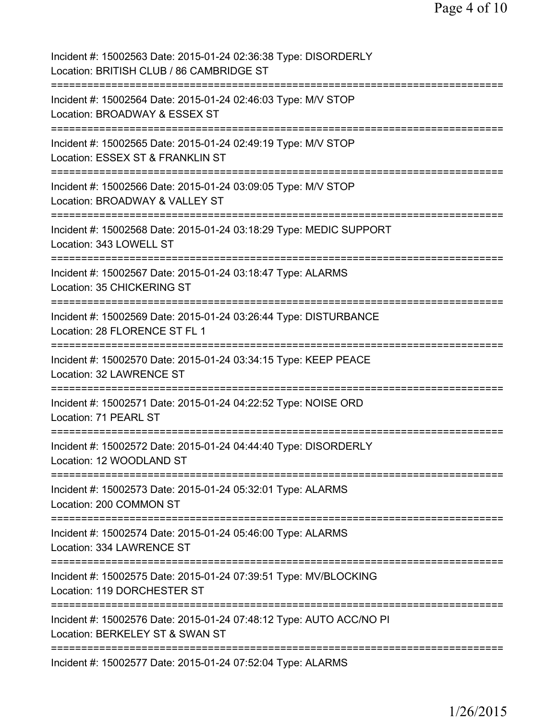| Incident #: 15002563 Date: 2015-01-24 02:36:38 Type: DISORDERLY<br>Location: BRITISH CLUB / 86 CAMBRIDGE ST                               |
|-------------------------------------------------------------------------------------------------------------------------------------------|
| Incident #: 15002564 Date: 2015-01-24 02:46:03 Type: M/V STOP<br>Location: BROADWAY & ESSEX ST                                            |
| Incident #: 15002565 Date: 2015-01-24 02:49:19 Type: M/V STOP<br>Location: ESSEX ST & FRANKLIN ST                                         |
| Incident #: 15002566 Date: 2015-01-24 03:09:05 Type: M/V STOP<br>Location: BROADWAY & VALLEY ST<br>=====================<br>============= |
| Incident #: 15002568 Date: 2015-01-24 03:18:29 Type: MEDIC SUPPORT<br>Location: 343 LOWELL ST<br>-------------------------------          |
| Incident #: 15002567 Date: 2015-01-24 03:18:47 Type: ALARMS<br>Location: 35 CHICKERING ST                                                 |
| Incident #: 15002569 Date: 2015-01-24 03:26:44 Type: DISTURBANCE<br>Location: 28 FLORENCE ST FL 1                                         |
| Incident #: 15002570 Date: 2015-01-24 03:34:15 Type: KEEP PEACE<br>Location: 32 LAWRENCE ST<br>===============================            |
| Incident #: 15002571 Date: 2015-01-24 04:22:52 Type: NOISE ORD<br>Location: 71 PEARL ST                                                   |
| Incident #: 15002572 Date: 2015-01-24 04:44:40 Type: DISORDERLY<br>Location: 12 WOODLAND ST                                               |
| Incident #: 15002573 Date: 2015-01-24 05:32:01 Type: ALARMS<br>Location: 200 COMMON ST                                                    |
| Incident #: 15002574 Date: 2015-01-24 05:46:00 Type: ALARMS<br>Location: 334 LAWRENCE ST                                                  |
| Incident #: 15002575 Date: 2015-01-24 07:39:51 Type: MV/BLOCKING<br>Location: 119 DORCHESTER ST<br>:============                          |
| Incident #: 15002576 Date: 2015-01-24 07:48:12 Type: AUTO ACC/NO PI<br>Location: BERKELEY ST & SWAN ST<br>===========================     |
| Incident #: 15002577 Date: 2015-01-24 07:52:04 Type: ALARMS                                                                               |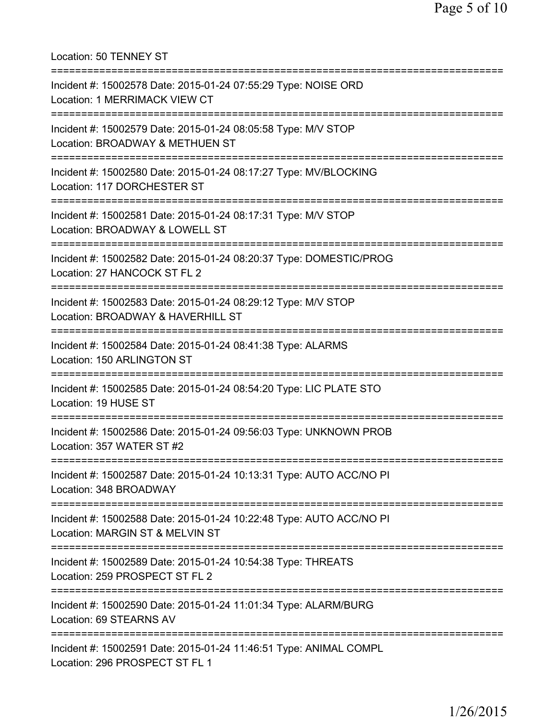Location: 50 TENNEY ST =========================================================================== Incident #: 15002578 Date: 2015-01-24 07:55:29 Type: NOISE ORD Location: 1 MERRIMACK VIEW CT =========================================================================== Incident #: 15002579 Date: 2015-01-24 08:05:58 Type: M/V STOP Location: BROADWAY & METHUEN ST =========================================================================== Incident #: 15002580 Date: 2015-01-24 08:17:27 Type: MV/BLOCKING Location: 117 DORCHESTER ST =========================================================================== Incident #: 15002581 Date: 2015-01-24 08:17:31 Type: M/V STOP Location: BROADWAY & LOWELL ST =========================================================================== Incident #: 15002582 Date: 2015-01-24 08:20:37 Type: DOMESTIC/PROG Location: 27 HANCOCK ST FL 2 =========================================================================== Incident #: 15002583 Date: 2015-01-24 08:29:12 Type: M/V STOP Location: BROADWAY & HAVERHILL ST =========================================================================== Incident #: 15002584 Date: 2015-01-24 08:41:38 Type: ALARMS Location: 150 ARLINGTON ST =========================================================================== Incident #: 15002585 Date: 2015-01-24 08:54:20 Type: LIC PLATE STO Location: 19 HUSE ST =========================================================================== Incident #: 15002586 Date: 2015-01-24 09:56:03 Type: UNKNOWN PROB Location: 357 WATER ST #2 =========================================================================== Incident #: 15002587 Date: 2015-01-24 10:13:31 Type: AUTO ACC/NO PI Location: 348 BROADWAY =========================================================================== Incident #: 15002588 Date: 2015-01-24 10:22:48 Type: AUTO ACC/NO PI Location: MARGIN ST & MELVIN ST =========================================================================== Incident #: 15002589 Date: 2015-01-24 10:54:38 Type: THREATS Location: 259 PROSPECT ST FL 2 =========================================================================== Incident #: 15002590 Date: 2015-01-24 11:01:34 Type: ALARM/BURG Location: 69 STEARNS AV =========================================================================== Incident #: 15002591 Date: 2015-01-24 11:46:51 Type: ANIMAL COMPL Location: 296 PROSPECT ST FL 1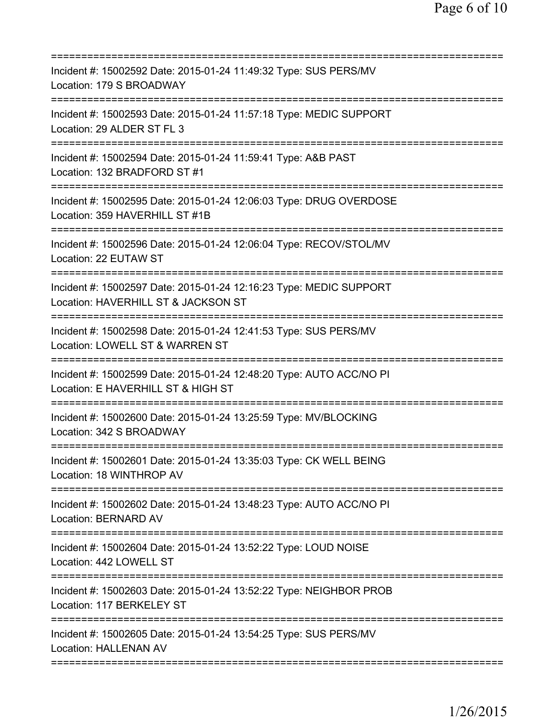| Incident #: 15002592 Date: 2015-01-24 11:49:32 Type: SUS PERS/MV<br>Location: 179 S BROADWAY                                                     |
|--------------------------------------------------------------------------------------------------------------------------------------------------|
| Incident #: 15002593 Date: 2015-01-24 11:57:18 Type: MEDIC SUPPORT<br>Location: 29 ALDER ST FL 3                                                 |
| Incident #: 15002594 Date: 2015-01-24 11:59:41 Type: A&B PAST<br>Location: 132 BRADFORD ST #1<br>=======================                         |
| Incident #: 15002595 Date: 2015-01-24 12:06:03 Type: DRUG OVERDOSE<br>Location: 359 HAVERHILL ST #1B                                             |
| Incident #: 15002596 Date: 2015-01-24 12:06:04 Type: RECOV/STOL/MV<br>Location: 22 EUTAW ST                                                      |
| ===================================<br>Incident #: 15002597 Date: 2015-01-24 12:16:23 Type: MEDIC SUPPORT<br>Location: HAVERHILL ST & JACKSON ST |
| Incident #: 15002598 Date: 2015-01-24 12:41:53 Type: SUS PERS/MV<br>Location: LOWELL ST & WARREN ST                                              |
| Incident #: 15002599 Date: 2015-01-24 12:48:20 Type: AUTO ACC/NO PI<br>Location: E HAVERHILL ST & HIGH ST                                        |
| Incident #: 15002600 Date: 2015-01-24 13:25:59 Type: MV/BLOCKING<br>Location: 342 S BROADWAY                                                     |
| Incident #: 15002601 Date: 2015-01-24 13:35:03 Type: CK WELL BEING<br>Location: 18 WINTHROP AV                                                   |
| Incident #: 15002602 Date: 2015-01-24 13:48:23 Type: AUTO ACC/NO PI<br><b>Location: BERNARD AV</b>                                               |
| Incident #: 15002604 Date: 2015-01-24 13:52:22 Type: LOUD NOISE<br>Location: 442 LOWELL ST                                                       |
| Incident #: 15002603 Date: 2015-01-24 13:52:22 Type: NEIGHBOR PROB<br>Location: 117 BERKELEY ST                                                  |
| Incident #: 15002605 Date: 2015-01-24 13:54:25 Type: SUS PERS/MV<br><b>Location: HALLENAN AV</b>                                                 |
|                                                                                                                                                  |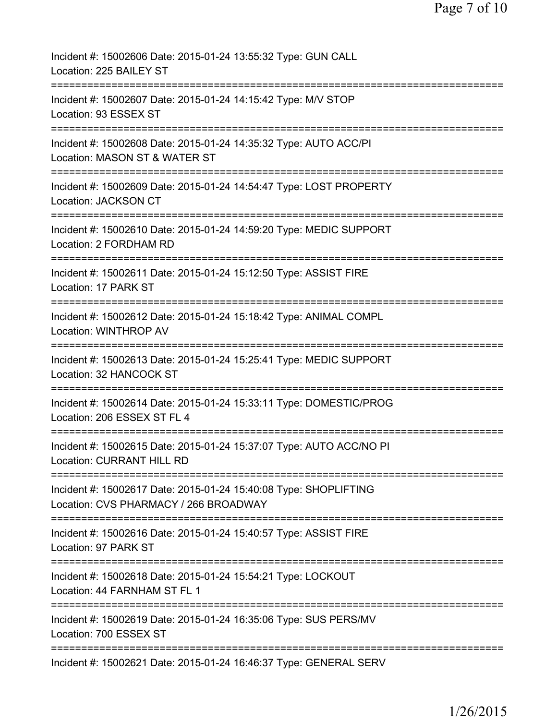| Incident #: 15002606 Date: 2015-01-24 13:55:32 Type: GUN CALL<br>Location: 225 BAILEY ST                                         |
|----------------------------------------------------------------------------------------------------------------------------------|
| Incident #: 15002607 Date: 2015-01-24 14:15:42 Type: M/V STOP<br>Location: 93 ESSEX ST                                           |
| Incident #: 15002608 Date: 2015-01-24 14:35:32 Type: AUTO ACC/PI<br>Location: MASON ST & WATER ST                                |
| Incident #: 15002609 Date: 2015-01-24 14:54:47 Type: LOST PROPERTY<br><b>Location: JACKSON CT</b>                                |
| Incident #: 15002610 Date: 2015-01-24 14:59:20 Type: MEDIC SUPPORT<br>Location: 2 FORDHAM RD                                     |
| ====================================<br>Incident #: 15002611 Date: 2015-01-24 15:12:50 Type: ASSIST FIRE<br>Location: 17 PARK ST |
| Incident #: 15002612 Date: 2015-01-24 15:18:42 Type: ANIMAL COMPL<br><b>Location: WINTHROP AV</b>                                |
| Incident #: 15002613 Date: 2015-01-24 15:25:41 Type: MEDIC SUPPORT<br>Location: 32 HANCOCK ST                                    |
| Incident #: 15002614 Date: 2015-01-24 15:33:11 Type: DOMESTIC/PROG<br>Location: 206 ESSEX ST FL 4                                |
| Incident #: 15002615 Date: 2015-01-24 15:37:07 Type: AUTO ACC/NO PI<br><b>Location: CURRANT HILL RD</b>                          |
| Incident #: 15002617 Date: 2015-01-24 15:40:08 Type: SHOPLIFTING<br>Location: CVS PHARMACY / 266 BROADWAY                        |
| ===================================<br>Incident #: 15002616 Date: 2015-01-24 15:40:57 Type: ASSIST FIRE<br>Location: 97 PARK ST  |
| Incident #: 15002618 Date: 2015-01-24 15:54:21 Type: LOCKOUT<br>Location: 44 FARNHAM ST FL 1                                     |
| Incident #: 15002619 Date: 2015-01-24 16:35:06 Type: SUS PERS/MV<br>Location: 700 ESSEX ST                                       |
| Incident #: 15002621 Date: 2015-01-24 16:46:37 Type: GENERAL SERV                                                                |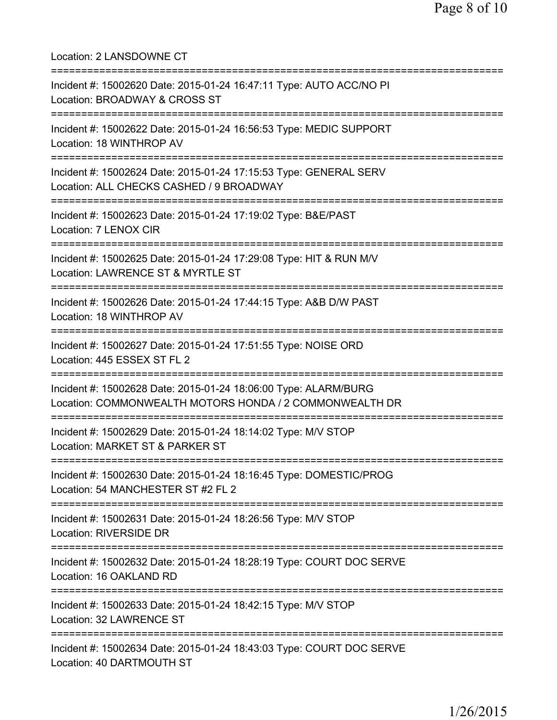Location: 2 LANSDOWNE CT =========================================================================== Incident #: 15002620 Date: 2015-01-24 16:47:11 Type: AUTO ACC/NO PI Location: BROADWAY & CROSS ST =========================================================================== Incident #: 15002622 Date: 2015-01-24 16:56:53 Type: MEDIC SUPPORT Location: 18 WINTHROP AV =========================================================================== Incident #: 15002624 Date: 2015-01-24 17:15:53 Type: GENERAL SERV Location: ALL CHECKS CASHED / 9 BROADWAY =========================================================================== Incident #: 15002623 Date: 2015-01-24 17:19:02 Type: B&E/PAST Location: 7 LENOX CIR =========================================================================== Incident #: 15002625 Date: 2015-01-24 17:29:08 Type: HIT & RUN M/V Location: LAWRENCE ST & MYRTLE ST =========================================================================== Incident #: 15002626 Date: 2015-01-24 17:44:15 Type: A&B D/W PAST Location: 18 WINTHROP AV =========================================================================== Incident #: 15002627 Date: 2015-01-24 17:51:55 Type: NOISE ORD Location: 445 ESSEX ST FL 2 =========================================================================== Incident #: 15002628 Date: 2015-01-24 18:06:00 Type: ALARM/BURG Location: COMMONWEALTH MOTORS HONDA / 2 COMMONWEALTH DR =========================================================================== Incident #: 15002629 Date: 2015-01-24 18:14:02 Type: M/V STOP Location: MARKET ST & PARKER ST =========================================================================== Incident #: 15002630 Date: 2015-01-24 18:16:45 Type: DOMESTIC/PROG Location: 54 MANCHESTER ST #2 FL 2 =========================================================================== Incident #: 15002631 Date: 2015-01-24 18:26:56 Type: M/V STOP Location: RIVERSIDE DR =========================================================================== Incident #: 15002632 Date: 2015-01-24 18:28:19 Type: COURT DOC SERVE Location: 16 OAKLAND RD =========================================================================== Incident #: 15002633 Date: 2015-01-24 18:42:15 Type: M/V STOP Location: 32 LAWRENCE ST =========================================================================== Incident #: 15002634 Date: 2015-01-24 18:43:03 Type: COURT DOC SERVE Location: 40 DARTMOUTH ST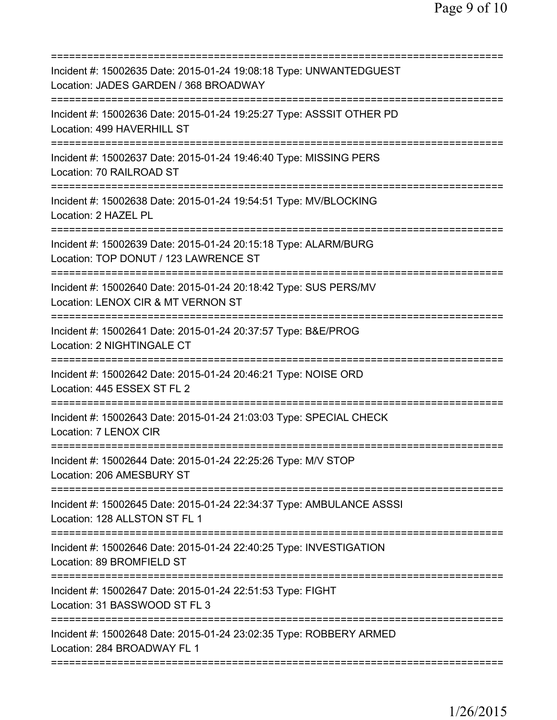| Incident #: 15002635 Date: 2015-01-24 19:08:18 Type: UNWANTEDGUEST<br>Location: JADES GARDEN / 368 BROADWAY                                                                |
|----------------------------------------------------------------------------------------------------------------------------------------------------------------------------|
| Incident #: 15002636 Date: 2015-01-24 19:25:27 Type: ASSSIT OTHER PD<br>Location: 499 HAVERHILL ST                                                                         |
| Incident #: 15002637 Date: 2015-01-24 19:46:40 Type: MISSING PERS<br>Location: 70 RAILROAD ST                                                                              |
| Incident #: 15002638 Date: 2015-01-24 19:54:51 Type: MV/BLOCKING<br>Location: 2 HAZEL PL                                                                                   |
| Incident #: 15002639 Date: 2015-01-24 20:15:18 Type: ALARM/BURG<br>Location: TOP DONUT / 123 LAWRENCE ST                                                                   |
| =================================<br>Incident #: 15002640 Date: 2015-01-24 20:18:42 Type: SUS PERS/MV<br>Location: LENOX CIR & MT VERNON ST<br>=========================== |
| Incident #: 15002641 Date: 2015-01-24 20:37:57 Type: B&E/PROG<br>Location: 2 NIGHTINGALE CT                                                                                |
| Incident #: 15002642 Date: 2015-01-24 20:46:21 Type: NOISE ORD<br>Location: 445 ESSEX ST FL 2                                                                              |
| Incident #: 15002643 Date: 2015-01-24 21:03:03 Type: SPECIAL CHECK<br>Location: 7 LENOX CIR                                                                                |
| Incident #: 15002644 Date: 2015-01-24 22:25:26 Type: M/V STOP<br>Location: 206 AMESBURY ST                                                                                 |
| Incident #: 15002645 Date: 2015-01-24 22:34:37 Type: AMBULANCE ASSSI<br>Location: 128 ALLSTON ST FL 1                                                                      |
| Incident #: 15002646 Date: 2015-01-24 22:40:25 Type: INVESTIGATION<br>Location: 89 BROMFIELD ST                                                                            |
| Incident #: 15002647 Date: 2015-01-24 22:51:53 Type: FIGHT<br>Location: 31 BASSWOOD ST FL 3                                                                                |
| Incident #: 15002648 Date: 2015-01-24 23:02:35 Type: ROBBERY ARMED<br>Location: 284 BROADWAY FL 1                                                                          |
|                                                                                                                                                                            |